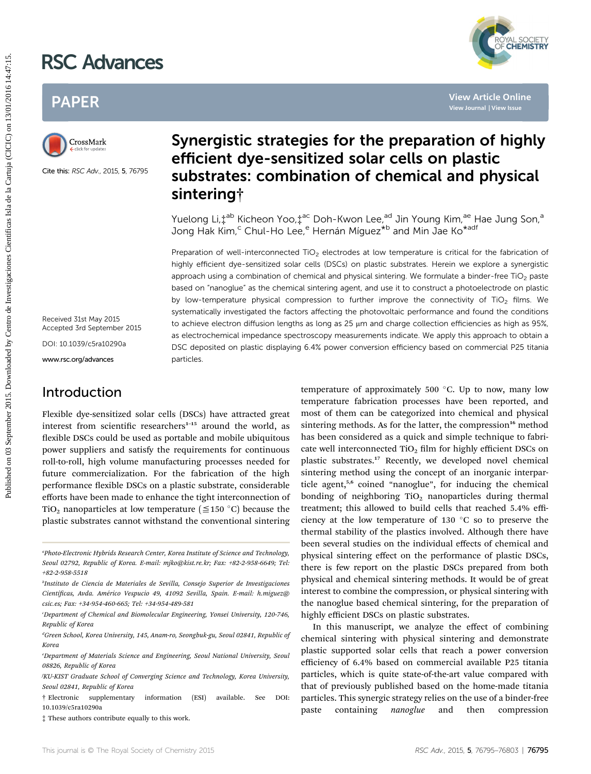# RSC Advances



## PAPER



Cite this: RSC Adv., 2015, 5, 76795

Received 31st May 2015 Accepted 3rd September 2015

DOI: 10.1039/c5ra10290a

www.rsc.org/advances

### Introduction

Flexible dye-sensitized solar cells (DSCs) have attracted great interest from scientific researchers $1-15$  around the world, as flexible DSCs could be used as portable and mobile ubiquitous power suppliers and satisfy the requirements for continuous roll-to-roll, high volume manufacturing processes needed for future commercialization. For the fabrication of the high performance flexible DSCs on a plastic substrate, considerable efforts have been made to enhance the tight interconnection of TiO<sub>2</sub> nanoparticles at low temperature ( $\leq$ 150 °C) because the plastic substrates cannot withstand the conventional sintering

## Synergistic strategies for the preparation of highly efficient dye-sensitized solar cells on plastic substrates: combination of chemical and physical sintering†

Yuelong Li,  $\ddagger$ <sup>ab</sup> Kicheon Yoo,  $\ddagger$ <sup>ac</sup> Doh-Kwon Lee,<sup>ad</sup> Jin Young Kim,<sup>ae</sup> Hae Jung Son,<sup>a</sup> Jong Hak Kim,<sup>c</sup> Chul-Ho Lee,<sup>e</sup> Hernán Míguez<sup>\*b</sup> and Min Jae Ko<sup>\*adf</sup>

Preparation of well-interconnected TiO<sub>2</sub> electrodes at low temperature is critical for the fabrication of highly efficient dye-sensitized solar cells (DSCs) on plastic substrates. Herein we explore a synergistic approach using a combination of chemical and physical sintering. We formulate a binder-free TiO<sub>2</sub> paste based on "nanoglue" as the chemical sintering agent, and use it to construct a photoelectrode on plastic by low-temperature physical compression to further improve the connectivity of TiO<sub>2</sub> films. We systematically investigated the factors affecting the photovoltaic performance and found the conditions to achieve electron diffusion lengths as long as 25  $\mu$ m and charge collection efficiencies as high as 95%, as electrochemical impedance spectroscopy measurements indicate. We apply this approach to obtain a DSC deposited on plastic displaying 6.4% power conversion efficiency based on commercial P25 titania particles. **PACE Activances**<br> **PAPER**<br> **Synergistic strategies for the preparation of high<br>
Circuit on 2015.<br>
Circuit of September 2015<br>
Circuit of September 2015.<br>
Circuit of Circuit of September 2015.<br>
Circuit of Circuit of Circuit** 

temperature of approximately 500 $\degree$ C. Up to now, many low temperature fabrication processes have been reported, and most of them can be categorized into chemical and physical sintering methods. As for the latter, the compression<sup>16</sup> method has been considered as a quick and simple technique to fabricate well interconnected  $TiO<sub>2</sub>$  film for highly efficient DSCs on plastic substrates.<sup>17</sup> Recently, we developed novel chemical sintering method using the concept of an inorganic interparticle agent,<sup>5,6</sup> coined "nanoglue", for inducing the chemical bonding of neighboring  $TiO<sub>2</sub>$  nanoparticles during thermal treatment; this allowed to build cells that reached 5.4% efficiency at the low temperature of 130  $^{\circ}$ C so to preserve the thermal stability of the plastics involved. Although there have been several studies on the individual effects of chemical and physical sintering effect on the performance of plastic DSCs, there is few report on the plastic DSCs prepared from both physical and chemical sintering methods. It would be of great interest to combine the compression, or physical sintering with the nanoglue based chemical sintering, for the preparation of highly efficient DSCs on plastic substrates.

In this manuscript, we analyze the effect of combining chemical sintering with physical sintering and demonstrate plastic supported solar cells that reach a power conversion efficiency of 6.4% based on commercial available P25 titania particles, which is quite state-of-the-art value compared with that of previously published based on the home-made titania particles. This synergic strategy relies on the use of a binder-free paste containing *nanoglue* and then compression

<sup>&</sup>quot;Photo-Electronic Hybrids Research Center, Korea Institute of Science and Technology, Seoul 02792, Republic of Korea. E-mail: mjko@kist.re.kr; Fax: +82-2-958-6649; Tel: +82-2-958-5518

b Instituto de Ciencia de Materiales de Sevilla, Consejo Superior de Investigaciones Científicas, Avda. Américo Vespucio 49, 41092 Sevilla, Spain. E-mail: h.miguez@ csic.es; Fax: +34-954-460-665; Tel: +34-954-489-581

c Department of Chemical and Biomolecular Engineering, Yonsei University, 120-746, Republic of Korea

d Green School, Korea University, 145, Anam-ro, Seongbuk-gu, Seoul 02841, Republic of Korea

e Department of Materials Science and Engineering, Seoul National University, Seoul 08826, Republic of Korea

f KU-KIST Graduate School of Converging Science and Technology, Korea University, Seoul 02841, Republic of Korea

<sup>†</sup> Electronic supplementary information (ESI) available. See DOI: 10.1039/c5ra10290a

<sup>‡</sup> These authors contribute equally to this work.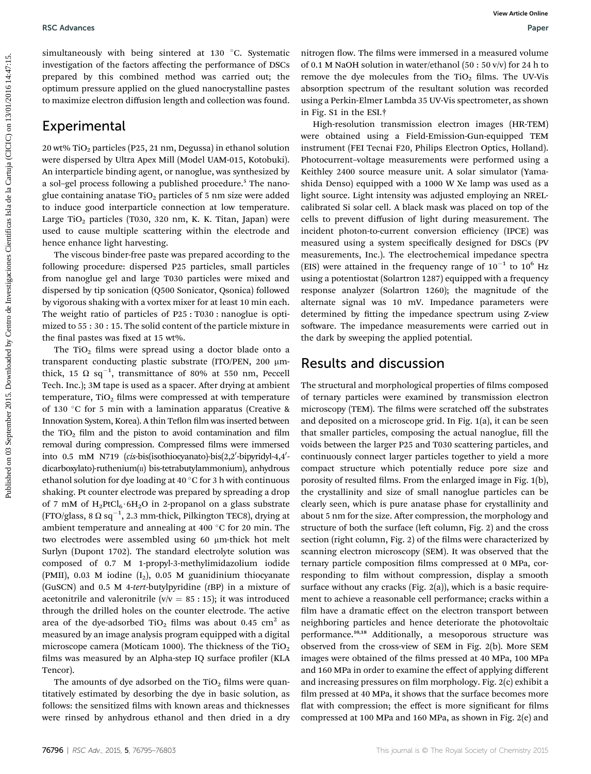simultaneously with being sintered at 130 °C. Systematic investigation of the factors affecting the performance of DSCs prepared by this combined method was carried out; the optimum pressure applied on the glued nanocrystalline pastes to maximize electron diffusion length and collection was found.

#### **Experimental**

20 wt% TiO2 particles (P25, 21 nm, Degussa) in ethanol solution were dispersed by Ultra Apex Mill (Model UAM-015, Kotobuki). An interparticle binding agent, or nanoglue, was synthesized by a sol-gel process following a published procedure.<sup>5</sup> The nanoglue containing anatase  $TiO<sub>2</sub>$  particles of 5 nm size were added to induce good interparticle connection at low temperature. Large TiO<sub>2</sub> particles (T030, 320 nm, K. K. Titan, Japan) were used to cause multiple scattering within the electrode and hence enhance light harvesting.

The viscous binder-free paste was prepared according to the following procedure: dispersed P25 particles, small particles from nanoglue gel and large T030 particles were mixed and dispersed by tip sonication (Q500 Sonicator, Qsonica) followed by vigorous shaking with a vortex mixer for at least 10 min each. The weight ratio of particles of P25 : T030 : nanoglue is optimized to 55 : 30 : 15. The solid content of the particle mixture in the final pastes was fixed at 15 wt%.

The  $TiO<sub>2</sub>$  films were spread using a doctor blade onto a transparent conducting plastic substrate (ITO/PEN, 200 mmthick, 15  $\Omega$  sq $^{-1}$ , transmittance of 80% at 550 nm, Peccell Tech. Inc.); 3M tape is used as a spacer. After drying at ambient temperature,  $TiO<sub>2</sub>$  films were compressed at with temperature of 130 °C for 5 min with a lamination apparatus (Creative & Innovation System, Korea). A thin Teflon film was inserted between the TiO<sub>2</sub> film and the piston to avoid contamination and film removal during compression. Compressed films were immersed into 0.5 mM N719 (cis-bis(isothiocyanato)-bis(2,2'-bipyridyl-4,4'dicarboxylato)-ruthenium(II) bis-tetrabutylammonium), anhydrous ethanol solution for dye loading at 40  $^{\circ}$ C for 3 h with continuous shaking. Pt counter electrode was prepared by spreading a drop of 7 mM of  $H_2PtCl_6.6H_2O$  in 2-propanol on a glass substrate (FTO/glass, 8  $\Omega$  sq<sup>-1</sup>, 2.3 mm-thick, Pilkington TEC8), drying at ambient temperature and annealing at 400  $^{\circ}$ C for 20 min. The two electrodes were assembled using 60 µm-thick hot melt Surlyn (Dupont 1702). The standard electrolyte solution was composed of 0.7 M 1-propyl-3-methylimidazolium iodide (PMII), 0.03 M iodine  $(I_2)$ , 0.05 M guanidinium thiocyanate (GuSCN) and 0.5 M 4-tert-butylpyridine (tBP) in a mixture of acetonitrile and valeronitrile ( $v/v = 85 : 15$ ); it was introduced through the drilled holes on the counter electrode. The active area of the dye-adsorbed  $TiO<sub>2</sub>$  films was about 0.45 cm<sup>2</sup> as measured by an image analysis program equipped with a digital microscope camera (Moticam 1000). The thickness of the  $TiO<sub>2</sub>$ films was measured by an Alpha-step IQ surface profiler (KLA Tencor).

The amounts of dye adsorbed on the  $TiO<sub>2</sub>$  films were quantitatively estimated by desorbing the dye in basic solution, as follows: the sensitized films with known areas and thicknesses were rinsed by anhydrous ethanol and then dried in a dry nitrogen flow. The films were immersed in a measured volume of 0.1 M NaOH solution in water/ethanol (50 : 50 v/v) for 24 h to remove the dye molecules from the  $TiO<sub>2</sub>$  films. The UV-Vis absorption spectrum of the resultant solution was recorded using a Perkin-Elmer Lambda 35 UV-Vis spectrometer, as shown in Fig. S1 in the ESI.†

High-resolution transmission electron images (HR-TEM) were obtained using a Field-Emission-Gun-equipped TEM instrument (FEI Tecnai F20, Philips Electron Optics, Holland). Photocurrent–voltage measurements were performed using a Keithley 2400 source measure unit. A solar simulator (Yamashida Denso) equipped with a 1000 W Xe lamp was used as a light source. Light intensity was adjusted employing an NRELcalibrated Si solar cell. A black mask was placed on top of the cells to prevent diffusion of light during measurement. The incident photon-to-current conversion efficiency (IPCE) was measured using a system specifically designed for DSCs (PV measurements, Inc.). The electrochemical impedance spectra (EIS) were attained in the frequency range of  $10^{-1}$  to  $10^6$  Hz using a potentiostat (Solartron 1287) equipped with a frequency response analyzer (Solartron 1260); the magnitude of the alternate signal was 10 mV. Impedance parameters were determined by fitting the impedance spectrum using Z-view software. The impedance measurements were carried out in the dark by sweeping the applied potential. **PUBLISHET (2018)** Simulation (18) The Control of Centro de Investigation (18) Centro de Investigaciones Cientificas Islamina (18) Centro de Investigaciones Cientificas Islamina (18) Centro de Investigaciones Cientificas I

#### Results and discussion

The structural and morphological properties of films composed of ternary particles were examined by transmission electron microscopy (TEM). The films were scratched off the substrates and deposited on a microscope grid. In Fig. 1(a), it can be seen that smaller particles, composing the actual nanoglue, fill the voids between the larger P25 and T030 scattering particles, and continuously connect larger particles together to yield a more compact structure which potentially reduce pore size and porosity of resulted films. From the enlarged image in Fig. 1(b), the crystallinity and size of small nanoglue particles can be clearly seen, which is pure anatase phase for crystallinity and about 5 nm for the size. After compression, the morphology and structure of both the surface (left column, Fig. 2) and the cross section (right column, Fig. 2) of the films were characterized by scanning electron microscopy (SEM). It was observed that the ternary particle composition films compressed at 0 MPa, corresponding to film without compression, display a smooth surface without any cracks (Fig. 2(a)), which is a basic requirement to achieve a reasonable cell performance; cracks within a film have a dramatic effect on the electron transport between neighboring particles and hence deteriorate the photovoltaic performance.10,18 Additionally, a mesoporous structure was observed from the cross-view of SEM in Fig. 2(b). More SEM images were obtained of the films pressed at 40 MPa, 100 MPa and 160 MPa in order to examine the effect of applying different and increasing pressures on film morphology. Fig. 2(c) exhibit a film pressed at 40 MPa, it shows that the surface becomes more flat with compression; the effect is more significant for films compressed at 100 MPa and 160 MPa, as shown in Fig. 2(e) and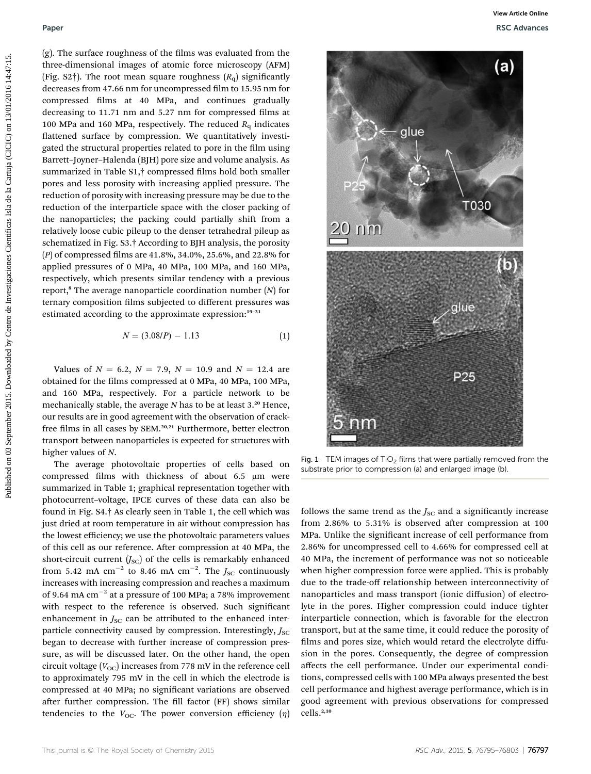(g). The surface roughness of the films was evaluated from the three-dimensional images of atomic force microscopy (AFM) (Fig. S2†). The root mean square roughness  $(R_q)$  significantly decreases from 47.66 nm for uncompressed film to 15.95 nm for compressed films at 40 MPa, and continues gradually decreasing to 11.71 nm and 5.27 nm for compressed films at 100 MPa and 160 MPa, respectively. The reduced  $R<sub>q</sub>$  indicates flattened surface by compression. We quantitatively investigated the structural properties related to pore in the film using Barrett–Joyner–Halenda (BJH) pore size and volume analysis. As summarized in Table S1,<sup>†</sup> compressed films hold both smaller pores and less porosity with increasing applied pressure. The reduction of porosity with increasing pressure may be due to the reduction of the interparticle space with the closer packing of the nanoparticles; the packing could partially shift from a relatively loose cubic pileup to the denser tetrahedral pileup as schematized in Fig. S3.† According to BJH analysis, the porosity  $(P)$  of compressed films are 41.8%, 34.0%, 25.6%, and 22.8% for applied pressures of 0 MPa, 40 MPa, 100 MPa, and 160 MPa, respectively, which presents similar tendency with a previous report,<sup>8</sup> The average nanoparticle coordination number  $(N)$  for ternary composition films subjected to different pressures was estimated according to the approximate expression:<sup>19-21</sup>

$$
N = (3.08/P) - 1.13\tag{1}
$$

Values of  $N = 6.2$ ,  $N = 7.9$ ,  $N = 10.9$  and  $N = 12.4$  are obtained for the films compressed at 0 MPa, 40 MPa, 100 MPa, and 160 MPa, respectively. For a particle network to be mechanically stable, the average  $N$  has to be at least  $3.^{20}$  Hence, our results are in good agreement with the observation of crackfree films in all cases by SEM.<sup>20,21</sup> Furthermore, better electron transport between nanoparticles is expected for structures with higher values of N.

The average photovoltaic properties of cells based on compressed films with thickness of about 6.5  $\mu$ m were summarized in Table 1; graphical representation together with photocurrent–voltage, IPCE curves of these data can also be found in Fig. S4.† As clearly seen in Table 1, the cell which was just dried at room temperature in air without compression has the lowest efficiency; we use the photovoltaic parameters values of this cell as our reference. After compression at 40 MPa, the short-circuit current  $(J_{\text{SC}})$  of the cells is remarkably enhanced from 5.42 mA  $\rm cm^{-2}$  to 8.46 mA  $\rm cm^{-2}.$  The  $J_{\rm SC}$  continuously increases with increasing compression and reaches a maximum of 9.64 mA  $cm^{-2}$  at a pressure of 100 MPa; a 78% improvement with respect to the reference is observed. Such significant enhancement in  $J_{SC}$  can be attributed to the enhanced interparticle connectivity caused by compression. Interestingly,  $J<sub>SC</sub>$ began to decrease with further increase of compression pressure, as will be discussed later. On the other hand, the open circuit voltage  $(V_{\text{OC}})$  increases from 778 mV in the reference cell to approximately 795 mV in the cell in which the electrode is compressed at 40 MPa; no significant variations are observed after further compression. The fill factor (FF) shows similar tendencies to the  $V_{\text{OC}}$ . The power conversion efficiency  $(\eta)$ 



Fig. 1 TEM images of TiO<sub>2</sub> films that were partially removed from the substrate prior to compression (a) and enlarged image (b).

follows the same trend as the  $J_{SC}$  and a significantly increase from  $2.86\%$  to  $5.31\%$  is observed after compression at 100 MPa. Unlike the significant increase of cell performance from 2.86% for uncompressed cell to 4.66% for compressed cell at 40 MPa, the increment of performance was not so noticeable when higher compression force were applied. This is probably due to the trade-off relationship between interconnectivity of nanoparticles and mass transport (ionic diffusion) of electrolyte in the pores. Higher compression could induce tighter interparticle connection, which is favorable for the electron transport, but at the same time, it could reduce the porosity of films and pores size, which would retard the electrolyte diffusion in the pores. Consequently, the degree of compression affects the cell performance. Under our experimental conditions, compressed cells with 100 MPa always presented the best cell performance and highest average performance, which is in good agreement with previous observations for compressed cells.<sup>2,10</sup>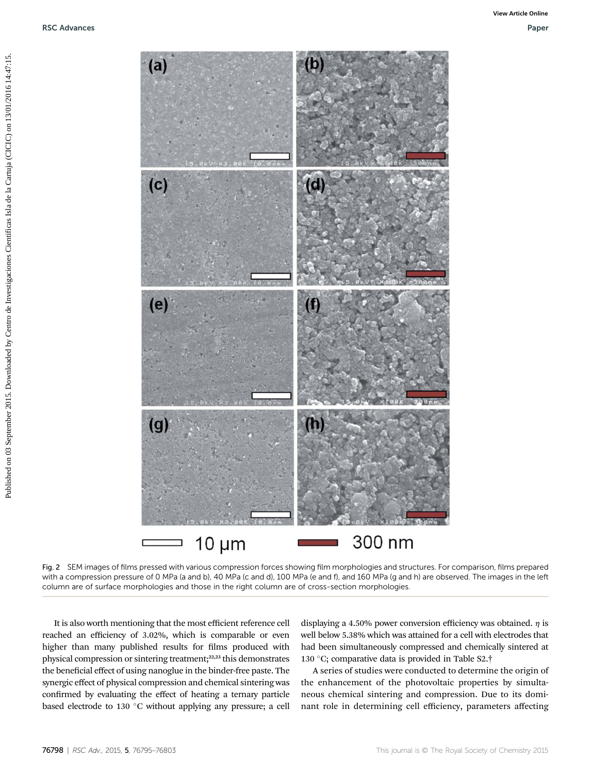

Fig. 2 SEM images of films pressed with various compression forces showing film morphologies and structures. For comparison, films prepared with a compression pressure of 0 MPa (a and b), 40 MPa (c and d), 100 MPa (e and f), and 160 MPa (g and h) are observed. The images in the left column are of surface morphologies and those in the right column are of cross-section morphologies.

It is also worth mentioning that the most efficient reference cell reached an efficiency of 3.02%, which is comparable or even higher than many published results for films produced with physical compression or sintering treatment;<sup>22,23</sup> this demonstrates the beneficial effect of using nanoglue in the binder-free paste. The synergic effect of physical compression and chemical sintering was confirmed by evaluating the effect of heating a ternary particle based electrode to 130  $\degree$ C without applying any pressure; a cell

displaying a 4.50% power conversion efficiency was obtained.  $\eta$  is well below 5.38% which was attained for a cell with electrodes that had been simultaneously compressed and chemically sintered at 130 °C; comparative data is provided in Table S2. $\dagger$ 

A series of studies were conducted to determine the origin of the enhancement of the photovoltaic properties by simultaneous chemical sintering and compression. Due to its dominant role in determining cell efficiency, parameters affecting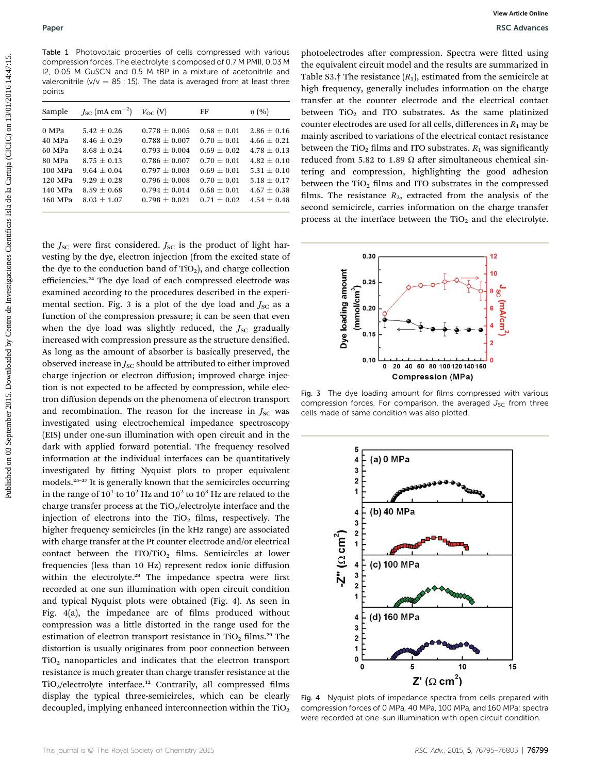Table 1 Photovoltaic properties of cells compressed with various compression forces. The electrolyte is composed of 0.7 M PMII, 0.03 M I2, 0.05 M GuSCN and 0.5 M tBP in a mixture of acetonitrile and valeronitrile ( $v/v = 85 : 15$ ). The data is averaged from at least three points

| Sample  | $J_{\rm SC}$ (mA cm <sup>-2</sup> ) | $V_{\rm OC}$ (V)  | FF              | $\eta$ (%)      |
|---------|-------------------------------------|-------------------|-----------------|-----------------|
|         |                                     |                   |                 |                 |
| 0 MPa   | $5.42 \pm 0.26$                     | $0.778 \pm 0.005$ | $0.68 \pm 0.01$ | $2.86 \pm 0.16$ |
| 40 MPa  | $8.46 + 0.29$                       | $0.788 + 0.007$   | $0.70 + 0.01$   | $4.66 \pm 0.21$ |
| 60 MPa  | $8.68 \pm 0.24$                     | $0.793 + 0.004$   | $0.69 + 0.02$   | $4.78 + 0.13$   |
| 80 MPa  | $8.75 + 0.13$                       | $0.786 + 0.007$   | $0.70 + 0.01$   | $4.82 \pm 0.10$ |
| 100 MPa | $9.64 + 0.04$                       | $0.797 + 0.003$   | $0.69 + 0.01$   | $5.31 \pm 0.10$ |
| 120 MPa | $9.29 \pm 0.28$                     | $0.796 + 0.008$   | $0.70 + 0.01$   | $5.18 \pm 0.17$ |
| 140 MPa | $8.59 + 0.68$                       | $0.794 + 0.014$   | $0.68 + 0.01$   | $4.67 + 0.38$   |
| 160 MPa | $8.03 \pm 1.07$                     | $0.798 + 0.021$   | $0.71 + 0.02$   | $4.54 \pm 0.48$ |
|         |                                     |                   |                 |                 |
|         |                                     |                   |                 |                 |

the  $J_{\text{SC}}$  were first considered.  $J_{\text{SC}}$  is the product of light harvesting by the dye, electron injection (from the excited state of the dye to the conduction band of  $TiO<sub>2</sub>$ ), and charge collection efficiencies.<sup>24</sup> The dye load of each compressed electrode was examined according to the procedures described in the experimental section. Fig. 3 is a plot of the dye load and  $J_{SC}$  as a function of the compression pressure; it can be seen that even when the dye load was slightly reduced, the  $J_{SC}$  gradually increased with compression pressure as the structure densified. As long as the amount of absorber is basically preserved, the observed increase in  $J_{SC}$  should be attributed to either improved charge injection or electron diffusion; improved charge injection is not expected to be affected by compression, while electron diffusion depends on the phenomena of electron transport and recombination. The reason for the increase in  $J<sub>SC</sub>$  was investigated using electrochemical impedance spectroscopy (EIS) under one-sun illumination with open circuit and in the dark with applied forward potential. The frequency resolved information at the individual interfaces can be quantitatively investigated by fitting Nyquist plots to proper equivalent models.<sup>25</sup>–<sup>27</sup> It is generally known that the semicircles occurring in the range of  $10^1$  to  $10^2$  Hz and  $10^2$  to  $10^3$  Hz are related to the charge transfer process at the  $TiO<sub>2</sub>/electrolyte$  interface and the injection of electrons into the  $TiO<sub>2</sub>$  films, respectively. The higher frequency semicircles (in the kHz range) are associated with charge transfer at the Pt counter electrode and/or electrical contact between the ITO/TiO<sub>2</sub> films. Semicircles at lower frequencies (less than 10 Hz) represent redox ionic diffusion within the electrolyte.<sup>28</sup> The impedance spectra were first recorded at one sun illumination with open circuit condition and typical Nyquist plots were obtained (Fig. 4). As seen in Fig.  $4(a)$ , the impedance arc of films produced without compression was a little distorted in the range used for the estimation of electron transport resistance in TiO<sub>2</sub> films.<sup>29</sup> The distortion is usually originates from poor connection between  $TiO<sub>2</sub>$  nanoparticles and indicates that the electron transport resistance is much greater than charge transfer resistance at the  $TiO<sub>2</sub>/electrolyte interface.<sup>12</sup> Contrarily, all compressed films$ display the typical three-semicircles, which can be clearly decoupled, implying enhanced interconnection within the  $TiO<sub>2</sub>$ **Published on Excelse Cientificas and Civic Control of Civic Civic Civic Civic Civic Civic Civic Civic Civic Civic Civic Civic Civic Civic Civic Civic Civic Civic Civic Civic Civic Civic Civic Civic Civic Civic Civic Civi** 

photoelectrodes after compression. Spectra were fitted using the equivalent circuit model and the results are summarized in Table S3.† The resistance  $(R_1)$ , estimated from the semicircle at high frequency, generally includes information on the charge transfer at the counter electrode and the electrical contact between  $TiO<sub>2</sub>$  and ITO substrates. As the same platinized counter electrodes are used for all cells, differences in  $R_1$  may be mainly ascribed to variations of the electrical contact resistance between the TiO<sub>2</sub> films and ITO substrates.  $R_1$  was significantly reduced from 5.82 to 1.89  $\Omega$  after simultaneous chemical sintering and compression, highlighting the good adhesion between the  $TiO<sub>2</sub>$  films and ITO substrates in the compressed films. The resistance  $R_2$ , extracted from the analysis of the second semicircle, carries information on the charge transfer process at the interface between the  $TiO<sub>2</sub>$  and the electrolyte.



Fig. 3 The dye loading amount for films compressed with various compression forces. For comparison, the averaged  $J_{SC}$  from three cells made of same condition was also plotted.



Fig. 4 Nyquist plots of impedance spectra from cells prepared with compression forces of 0 MPa, 40 MPa, 100 MPa, and 160 MPa; spectra were recorded at one-sun illumination with open circuit condition.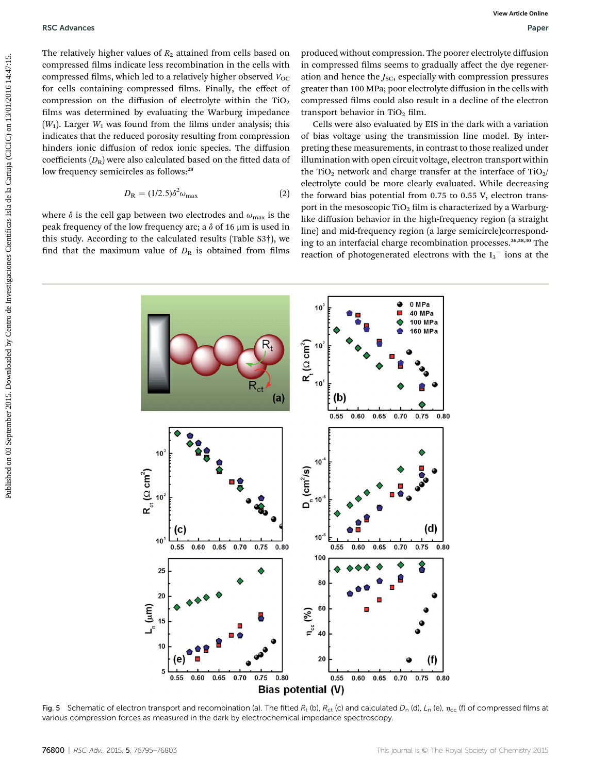The relatively higher values of  $R_2$  attained from cells based on compressed films indicate less recombination in the cells with compressed films, which led to a relatively higher observed  $V_{\text{OC}}$ for cells containing compressed films. Finally, the effect of compression on the diffusion of electrolyte within the  $TiO<sub>2</sub>$ films was determined by evaluating the Warburg impedance  $(W_1)$ . Larger  $W_1$  was found from the films under analysis; this indicates that the reduced porosity resulting from compression hinders ionic diffusion of redox ionic species. The diffusion coefficients  $(D_R)$  were also calculated based on the fitted data of low frequency semicircles as follows:<sup>28</sup>

$$
D_{\rm R} = (1/2.5)\delta^2 \omega_{\rm max} \tag{2}
$$

where  $\delta$  is the cell gap between two electrodes and  $\omega_{\text{max}}$  is the peak frequency of the low frequency arc; a  $\delta$  of 16  $\mu$ m is used in this study. According to the calculated results (Table S3†), we find that the maximum value of  $D_R$  is obtained from films

produced without compression. The poorer electrolyte diffusion in compressed films seems to gradually affect the dye regeneration and hence the  $J_{SC}$ , especially with compression pressures greater than 100 MPa; poor electrolyte diffusion in the cells with compressed films could also result in a decline of the electron transport behavior in  $TiO<sub>2</sub> film$ .

Cells were also evaluated by EIS in the dark with a variation of bias voltage using the transmission line model. By interpreting these measurements, in contrast to those realized under illumination with open circuit voltage, electron transport within the TiO<sub>2</sub> network and charge transfer at the interface of TiO<sub>2</sub>/ electrolyte could be more clearly evaluated. While decreasing the forward bias potential from 0.75 to 0.55 V, electron transport in the mesoscopic TiO<sub>2</sub> film is characterized by a Warburglike diffusion behavior in the high-frequency region (a straight line) and mid-frequency region (a large semicircle)corresponding to an interfacial charge recombination processes.<sup>26,28,30</sup> The reaction of photogenerated electrons with the  $I_3$ <sup>-</sup> ions at the



Fig. 5 Schematic of electron transport and recombination (a). The fitted  $R_t$  (b),  $R_{ct}$  (c) and calculated  $D_n$  (d),  $L_n$  (e),  $\eta_{cc}$  (f) of compressed films at various compression forces as measured in the dark by electrochemical impedance spectroscopy.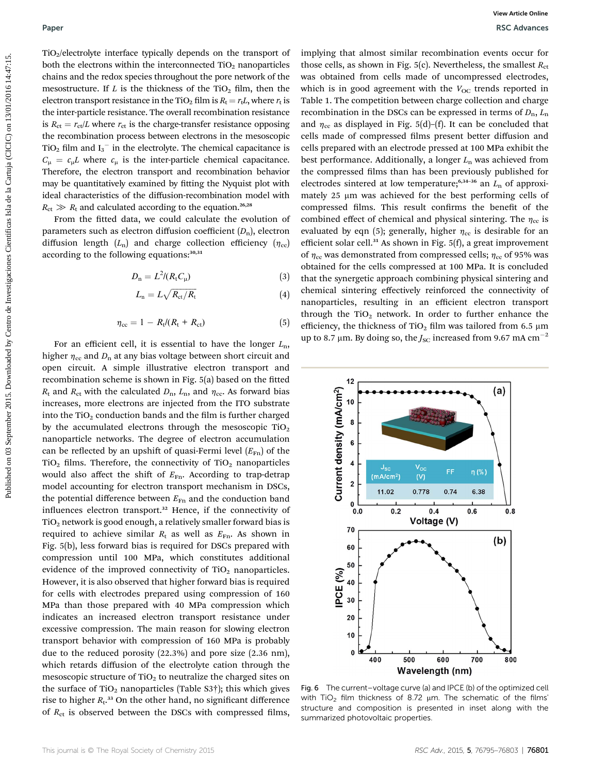TiO2/electrolyte interface typically depends on the transport of both the electrons within the interconnected TiO<sub>2</sub> nanoparticles chains and the redox species throughout the pore network of the mesostructure. If  $L$  is the thickness of the TiO<sub>2</sub> film, then the electron transport resistance in the TiO<sub>2</sub> film is  $R_t = r_tL$ , where  $r_t$  is the inter-particle resistance. The overall recombination resistance is  $R_{\text{ct}} = r_{\text{ct}}/L$  where  $r_{\text{ct}}$  is the charge-transfer resistance opposing the recombination process between electrons in the mesoscopic TiO<sub>2</sub> film and  $I_3^-$  in the electrolyte. The chemical capacitance is  $C_{\mu} = c_{\mu}L$  where  $c_{\mu}$  is the inter-particle chemical capacitance. Therefore, the electron transport and recombination behavior may be quantitatively examined by fitting the Nyquist plot with ideal characteristics of the diffusion-recombination model with  $R_{\rm ct} \gg R_{\rm t}$  and calculated according to the equation.<sup>26,28</sup>

From the fitted data, we could calculate the evolution of parameters such as electron diffusion coefficient  $(D_n)$ , electron diffusion length  $(L_n)$  and charge collection efficiency  $(\eta_{cc})$ according to the following equations: 30,31

$$
D_{\rm n} = L^2 / (R_{\rm t} C_{\mu}) \tag{3}
$$

$$
L_{\rm n}=L\sqrt{R_{\rm ct}/R_{\rm t}}\tag{4}
$$

$$
\eta_{\rm cc} = 1 - R_{\rm t} / (R_{\rm t} + R_{\rm ct}) \tag{5}
$$

For an efficient cell, it is essential to have the longer  $L_n$ , higher  $\eta_{\rm cc}$  and  $D_{\rm n}$  at any bias voltage between short circuit and open circuit. A simple illustrative electron transport and recombination scheme is shown in Fig. 5(a) based on the fitted  $R_t$  and  $R_{ct}$  with the calculated  $D_n$ ,  $L_n$ , and  $\eta_{cc}$ . As forward bias increases, more electrons are injected from the ITO substrate into the  $TiO<sub>2</sub>$  conduction bands and the film is further charged by the accumulated electrons through the mesoscopic  $TiO<sub>2</sub>$ nanoparticle networks. The degree of electron accumulation can be reflected by an upshift of quasi-Fermi level  $(E_{Fn})$  of the  $TiO<sub>2</sub>$  films. Therefore, the connectivity of TiO<sub>2</sub> nanoparticles would also affect the shift of  $E_{\text{Fn}}$ . According to trap-detrap model accounting for electron transport mechanism in DSCs, the potential difference between  $E_{\text{Fn}}$  and the conduction band influences electron transport.<sup>32</sup> Hence, if the connectivity of TiO2 network is good enough, a relatively smaller forward bias is required to achieve similar  $R_t$  as well as  $E_{\text{Fn}}$ . As shown in Fig. 5(b), less forward bias is required for DSCs prepared with compression until 100 MPa, which constitutes additional evidence of the improved connectivity of  $TiO<sub>2</sub>$  nanoparticles. However, it is also observed that higher forward bias is required for cells with electrodes prepared using compression of 160 MPa than those prepared with 40 MPa compression which indicates an increased electron transport resistance under excessive compression. The main reason for slowing electron transport behavior with compression of 160 MPa is probably due to the reduced porosity (22.3%) and pore size (2.36 nm), which retards diffusion of the electrolyte cation through the mesoscopic structure of  $TiO<sub>2</sub>$  to neutralize the charged sites on the surface of  $TiO<sub>2</sub>$  nanoparticles (Table S3†); this which gives rise to higher  $R_t$ .<sup>33</sup> On the other hand, no significant difference of  $R_{\text{ct}}$  is observed between the DSCs with compressed films,

implying that almost similar recombination events occur for those cells, as shown in Fig. 5(c). Nevertheless, the smallest  $R_{\text{ct}}$ was obtained from cells made of uncompressed electrodes, which is in good agreement with the  $V_{OC}$  trends reported in Table 1. The competition between charge collection and charge recombination in the DSCs can be expressed in terms of  $D_n$ ,  $L_n$ and  $\eta_{\rm cc}$  as displayed in Fig. 5(d)–(f). It can be concluded that cells made of compressed films present better diffusion and cells prepared with an electrode pressed at 100 MPa exhibit the best performance. Additionally, a longer  $L_n$  was achieved from the compressed films than has been previously published for electrodes sintered at low temperature;<sup>6,34-36</sup> an  $L_n$  of approximately 25 µm was achieved for the best performing cells of compressed films. This result confirms the benefit of the combined effect of chemical and physical sintering. The  $\eta_{cc}$  is evaluated by eqn (5); generally, higher  $\eta_{cc}$  is desirable for an efficient solar cell.<sup>31</sup> As shown in Fig. 5(f), a great improvement of  $\eta_{cc}$  was demonstrated from compressed cells;  $\eta_{cc}$  of 95% was obtained for the cells compressed at 100 MPa. It is concluded that the synergetic approach combining physical sintering and chemical sintering effectively reinforced the connectivity of nanoparticles, resulting in an efficient electron transport through the TiO<sub>2</sub> network. In order to further enhance the efficiency, the thickness of TiO<sub>2</sub> film was tailored from 6.5  $\upmu \textrm{m}$ up to 8.7  $\mu$ m. By doing so, the J<sub>SC</sub> increased from 9.67 mA cm<sup>-2</sup> **Published control on 03** September 2015. The control of the form of the control of the state of the state of the control of the state of the COMPACT CONDITION (CICIC) on the control of the COMPACT CONDITION (CICIC) on 13



Fig. 6 The current–voltage curve (a) and IPCE (b) of the optimized cell with TiO<sub>2</sub> film thickness of 8.72  $\mu$ m. The schematic of the films' structure and composition is presented in inset along with the summarized photovoltaic properties.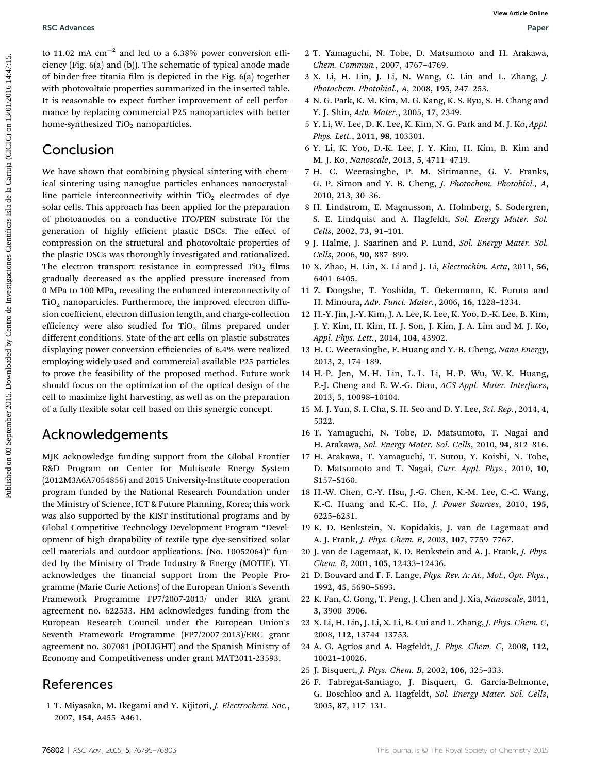to 11.02 mA  $cm^{-2}$  and led to a 6.38% power conversion efficiency (Fig. 6(a) and (b)). The schematic of typical anode made of binder-free titania film is depicted in the Fig. 6(a) together with photovoltaic properties summarized in the inserted table. It is reasonable to expect further improvement of cell performance by replacing commercial P25 nanoparticles with better home-synthesized  $TiO<sub>2</sub>$  nanoparticles.

## Conclusion

We have shown that combining physical sintering with chemical sintering using nanoglue particles enhances nanocrystalline particle interconnectivity within  $TiO<sub>2</sub>$  electrodes of dye solar cells. This approach has been applied for the preparation of photoanodes on a conductive ITO/PEN substrate for the generation of highly efficient plastic DSCs. The effect of compression on the structural and photovoltaic properties of the plastic DSCs was thoroughly investigated and rationalized. The electron transport resistance in compressed  $TiO<sub>2</sub>$  films gradually decreased as the applied pressure increased from 0 MPa to 100 MPa, revealing the enhanced interconnectivity of  $TiO<sub>2</sub>$  nanoparticles. Furthermore, the improved electron diffusion coefficient, electron diffusion length, and charge-collection efficiency were also studied for  $TiO<sub>2</sub>$  films prepared under different conditions. State-of-the-art cells on plastic substrates displaying power conversion efficiencies of 6.4% were realized employing widely-used and commercial-available P25 particles to prove the feasibility of the proposed method. Future work should focus on the optimization of the optical design of the cell to maximize light harvesting, as well as on the preparation of a fully flexible solar cell based on this synergic concept. **PSC AREACTS** (and **Example of 2016)** (and **Example 1015.** This properties Cientificas Isla de Data Control in the Control in the Cartugal Cientificas Isla de Data Control in the Cartugal Cientificas Isla de Data Control i

## Acknowledgements

MJK acknowledge funding support from the Global Frontier R&D Program on Center for Multiscale Energy System (2012M3A6A7054856) and 2015 University-Institute cooperation program funded by the National Research Foundation under the Ministry of Science, ICT & Future Planning, Korea; this work was also supported by the KIST institutional programs and by Global Competitive Technology Development Program "Development of high drapability of textile type dye-sensitized solar cell materials and outdoor applications. (No. 10052064)" funded by the Ministry of Trade Industry & Energy (MOTIE). YL acknowledges the financial support from the People Programme (Marie Curie Actions) of the European Union's Seventh Framework Programme FP7/2007-2013/ under REA grant agreement no. 622533. HM acknowledges funding from the European Research Council under the European Union's Seventh Framework Programme (FP7/2007-2013)/ERC grant agreement no. 307081 (POLIGHT) and the Spanish Ministry of Economy and Competitiveness under grant MAT2011-23593.

## References

1 T. Miyasaka, M. Ikegami and Y. Kijitori, J. Electrochem. Soc., 2007, 154, A455–A461.

- 2 T. Yamaguchi, N. Tobe, D. Matsumoto and H. Arakawa, Chem. Commun., 2007, 4767–4769.
- 3 X. Li, H. Lin, J. Li, N. Wang, C. Lin and L. Zhang, J. Photochem. Photobiol., A, 2008, 195, 247–253.
- 4 N. G. Park, K. M. Kim, M. G. Kang, K. S. Ryu, S. H. Chang and Y. J. Shin, Adv. Mater., 2005, 17, 2349.
- 5 Y. Li, W. Lee, D. K. Lee, K. Kim, N. G. Park and M. J. Ko, Appl. Phys. Lett., 2011, 98, 103301.
- 6 Y. Li, K. Yoo, D.-K. Lee, J. Y. Kim, H. Kim, B. Kim and M. J. Ko, Nanoscale, 2013, 5, 4711–4719.
- 7 H. C. Weerasinghe, P. M. Sirimanne, G. V. Franks, G. P. Simon and Y. B. Cheng, J. Photochem. Photobiol., A, 2010, 213, 30–36.
- 8 H. Lindstrom, E. Magnusson, A. Holmberg, S. Sodergren, S. E. Lindquist and A. Hagfeldt, Sol. Energy Mater. Sol. Cells, 2002, 73, 91–101.
- 9 J. Halme, J. Saarinen and P. Lund, Sol. Energy Mater. Sol. Cells, 2006, 90, 887–899.
- 10 X. Zhao, H. Lin, X. Li and J. Li, Electrochim. Acta, 2011, 56, 6401–6405.
- 11 Z. Dongshe, T. Yoshida, T. Oekermann, K. Furuta and H. Minoura, Adv. Funct. Mater., 2006, 16, 1228–1234.
- 12 H.-Y. Jin, J.-Y. Kim, J. A. Lee, K. Lee, K. Yoo, D.-K. Lee, B. Kim, J. Y. Kim, H. Kim, H. J. Son, J. Kim, J. A. Lim and M. J. Ko, Appl. Phys. Lett., 2014, 104, 43902.
- 13 H. C. Weerasinghe, F. Huang and Y.-B. Cheng, Nano Energy, 2013, 2, 174–189.
- 14 H.-P. Jen, M.-H. Lin, L.-L. Li, H.-P. Wu, W.-K. Huang, P.-J. Cheng and E. W.-G. Diau, ACS Appl. Mater. Interfaces, 2013, 5, 10098–10104.
- 15 M. J. Yun, S. I. Cha, S. H. Seo and D. Y. Lee, Sci. Rep., 2014, 4, 5322.
- 16 T. Yamaguchi, N. Tobe, D. Matsumoto, T. Nagai and H. Arakawa, Sol. Energy Mater. Sol. Cells, 2010, 94, 812–816.
- 17 H. Arakawa, T. Yamaguchi, T. Sutou, Y. Koishi, N. Tobe, D. Matsumoto and T. Nagai, Curr. Appl. Phys., 2010, 10, S157–S160.
- 18 H.-W. Chen, C.-Y. Hsu, J.-G. Chen, K.-M. Lee, C.-C. Wang, K.-C. Huang and K.-C. Ho, J. Power Sources, 2010, 195, 6225–6231.
- 19 K. D. Benkstein, N. Kopidakis, J. van de Lagemaat and A. J. Frank, J. Phys. Chem. B, 2003, 107, 7759–7767.
- 20 J. van de Lagemaat, K. D. Benkstein and A. J. Frank, J. Phys. Chem. B, 2001, 105, 12433–12436.
- 21 D. Bouvard and F. F. Lange, Phys. Rev. A: At., Mol., Opt. Phys., 1992, 45, 5690–5693.
- 22 K. Fan, C. Gong, T. Peng, J. Chen and J. Xia, Nanoscale, 2011, 3, 3900–3906.
- 23 X. Li, H. Lin, J. Li, X. Li, B. Cui and L. Zhang, J. Phys. Chem. C, 2008, 112, 13744–13753.
- 24 A. G. Agrios and A. Hagfeldt, J. Phys. Chem. C, 2008, 112, 10021–10026.
- 25 J. Bisquert, J. Phys. Chem. B, 2002, 106, 325–333.
- 26 F. Fabregat-Santiago, J. Bisquert, G. Garcia-Belmonte, G. Boschloo and A. Hagfeldt, Sol. Energy Mater. Sol. Cells, 2005, 87, 117–131.